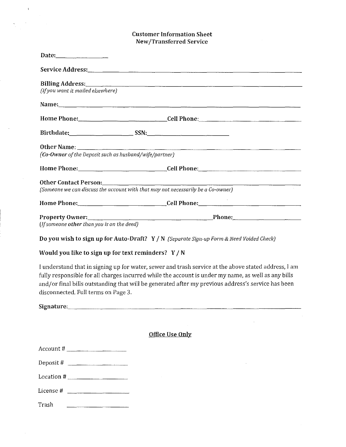## Customer Information Sheet New /Transferred Service

| (If you want it mailed elsewhere)                      |                                                                                                           |  |
|--------------------------------------------------------|-----------------------------------------------------------------------------------------------------------|--|
|                                                        |                                                                                                           |  |
|                                                        | Home Phone:_________________________________Cell Phone:__________________________                         |  |
|                                                        |                                                                                                           |  |
|                                                        |                                                                                                           |  |
| (Co-Owner of the Deposit such as husband/wife/partner) |                                                                                                           |  |
|                                                        | Home Phone:________________________________Cell Phone:___________________________                         |  |
|                                                        | Other Contact Person:<br>(Someone we can discuss the account with that may not necessarily be a Co-owner) |  |
|                                                        |                                                                                                           |  |
|                                                        |                                                                                                           |  |
| (If someone other than you is on the deed)             |                                                                                                           |  |

Do yon wish to sign up for Auto-Draft? Y / N *(Separate Sign-up Form* & *Need Voided Check)* 

Would you like to sign up for text reminders?  $Y / N$ 

 $\mathbf{t}$ 

I understand that in signing up for water, sewer and trash service at the above stated address, I am fully responsible for all charges incurred while the account is under my name, as well as any bills and/or final bills outstanding that will be generated after my previous address's service has been disconnected. Full terms on Page 3.

| Signature: |  | _____________ |  |
|------------|--|---------------|--|

| <u> Office Use Only</u> |  |
|-------------------------|--|
|                         |  |

 $\sim$ 

|           | $Account # \_$                |
|-----------|-------------------------------|
|           | Deposit # $\qquad \qquad$     |
|           |                               |
| License # |                               |
| Trash     | the company of the company of |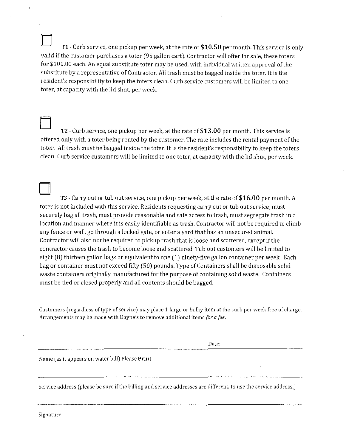D **Tl** -Curb service, one pickup per week, at the rate of **\$10.50** per month. This service is only valid if the customer purchases a toter (95 gallon cart). Contractor will offer for sale, these taters for \$100.00 each. An equal substitute toter may be used, with individual written approval of the substitute by a representative of Contractor. All trash must be bagged inside the toter. It is the resident's responsibility to keep the toters clean. Curb service customers will be limited to one toter, at capacity with the lid shut, per week.

D TZ - Curb service, one pickup per week, at the rate of **\$13.00** per month. This service is offered only with a toter being rented by the customer. The rate includes the rental payment of the toter. All trash must be bagged inside the toter. It is the resident's responsibility to keep the taters clean. Curb service customers will be limited to one toter, at capacity with the lid shut, per week.

D T3 - Carry out or tub out service, one pickup per week, at the rate of **\$16.00** per month. *A*  toter is not included with this service. Residents requesting carry out or tub out service; must securely bag all trash, must provide reasonable and safe access to trash, must segregate trash in a location and manner where it is easily identifiable as trash. Contractor will not be required to climb any fence or wall, go through a locked gate, or enter a yard that has an unsecured animal. Contractor will also not be required to pickup trash that is loose and scattered, except if the contractor causes the trash to become loose and scattered. Tub out customers will be limited to eight (8) thirteen gallon bags or equivalent to one (1) ninety-five gallon container per week. Each bag or container must not exceed fifty (50) pounds. Type of Containers shall be disposable solid waste containers originally manufactured for the purpose of containing solid waste. Containers must be tied or closed properly and all contents should be bagged.

Customers (regardless of type of service) may place 1 large or bulky item at the curb per week free of charge. Arrangements may be made with Dayne's to remove additional items *for a fee.* 

Date:

Name (as it appears on water bill) Please **Print** 

Service address (please be sure if the billing and service addresses are different, to use the service address.)

Signature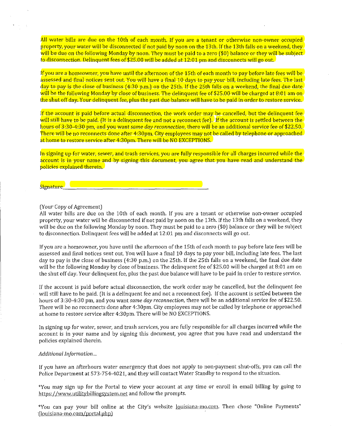All water bills are due on the 10th of each month. If you are a tenant or otherwise non-owner occupied property, your water will be disconnected if not paid by noon on the 13th. If the 13th falls on a weekend, they will be due on the following Monday by noon. They must be paid to a zero (\$0) balance or they will be subject  $\frac{1}{2}$  to disconnection. Delinquent fees of \$25.00 will be added at 12:01 pm and disconnects will go out.

If you are a homeowner, you have until the afternoon of the 15th of each month to pay before late fees will be assessed and final notices sent out. You will have a final 10 days to pay your bill, including late fees. The last day to pay is the close of business (4:30 p.m.) on the 25th. If the 25th falls on a weekend, the final due date will be the following Monday by close of business. The delinquent fee of \$25.00 will be charged at 8:01 am on the shut off day. Your delinquent fee, plus the past due balance will have to be paid in order to restore service.

If the account is paid before actual disconnection, the work order may be cancelled, but the delinquent fee will still have to be paid. (It is a delinquent fee and not a reconnect fee). If the account is settled between the hours of 3:30-4:30 pm, and you want *same day reconnection,* there will be an additional service fee of \$22.50. There will be no reconnects done after 4:30pm. City employees may not be called by telephone or approached at home to restore service after 4:30pm. There will be NO EXCEPTIONS.

In signing up for water, sewer, and trash services, you are fully responsible for all charges incurred while the account is in your name and by signing this document, you agree that you have read and understand the policies explained therein.

**Signature \_\_\_\_\_\_\_\_\_\_\_\_\_\_\_\_\_\_\_\_\_ \_** 

#### (Your Copy of Agreement)

All water bills are due on the 10th of each month. If you are a tenant or otherwise non-owner occupied property, your water will be disconnected if not paid by noon on the 13th. If the 13th falls on a weekend, they will be due on the following Monday by noon. They must be paid to a zero (\$0) balance or they will be subject to disconnection. Delinquent fees will be added at 12:01 pm and disconnects will go out.

If you are a homeowner, you have until the afternoon of the 15th of each month to pay before late fees will be assessed and final notices sent out. You will have a final 10 days to pay your bill, including late fees. The last day to pay is the close of business ( 4:30 p.m.) on the 25th. If the 25th falls on a weekend, the final due date will be the following Monday by close of business. The delinquent fee of \$25.00 will be charged at 8:01 am on the shut off day. Your delinquent fee, plus the past due balance will have to be paid in order to restore service.

If the account is paid before actual disconnection, the work order may be cancelled, but the delinquent fee will still have to be paid. (It is a delinquent fee and not a reconnect fee). If the account is settled between the hours of 3:30-4:30 pm, and you want *same day reconnection,* there will be an additional service fee of \$22.50. There will be no reconnects done after 4:30pm. City employees may not be called by telephone or approached at home to restore service after 4:30pm. There will be NO EXCEPTIONS.

In signing up for water, sewer, and trash services, you are fully responsible for all charges incurred while the account is in your name and by signing this document, you agree that you have read and understand the **policies explained therein.** 

#### *Additional Information ...*

If you have an afterhours water emergency that does not apply to non-payment shut-offs, you can call the Police Department at 573-754-4021, and they will contact Water Standby to respond to the situation.

\*You may sign up for the Portal to view your account at any time or enroll in email billing by going to https://www.utilitvbillingsystem.net and follow the prompts.

\*You can pay your bill online at the City's website louisiana-1110.com. Then chose "Online Payments" (louisiana-mo.com/portal.php)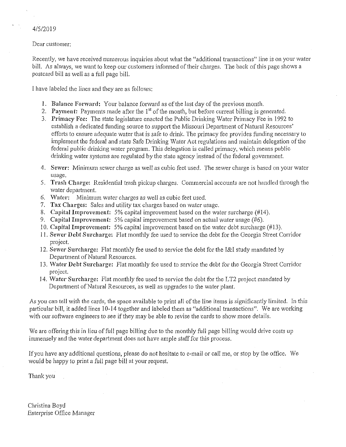# 4/5/2019

## Dear customer:

Recently, we have received numerous inquiries about what the "additional transactions" line is on your water bill. As always, we want to keep our customers infonned of their charges. The back of this page shows a postcard bill as well as a full page bill.

I have labeled the lines and they are as follows:

- I. Balance Forward: Your balance forward as of the last day of the previous month.
- 2. Payment: Payments made after the  $1<sup>st</sup>$  of the month, but before current billing is generated.
- 3. Primacy Fee: The state legislature enacted the Public Drinking Water Primacy Fee in 1992 to establish a dedicated funding source to support the Missouri Department of Natural Resources' efforts to ensure adequate water that is safe to drink. The primacy fee provides funding necessary to implement the federal and state Safe Drinking Water Act regulations and maintain delegation of the federal public drinking water program. This delegation is called primacy, which means public drinking water systems are regulated by the state agency instead of the federal govemment.
- 4. Sewer: Minimum sewer charge as well as cubic feet used. The sewer charge is based on your water usage.
- 5. Trash Charge: Residential trash pickup charges. Commercial accounts are not handled through the water department.
- 6. Water: Minimum water charges as well as cubic feet used.
- 7. Tax Charges: Sales and utility tax charges based on water usage.
- 8. Capital Improvement: 5% capital improvement based on the water surcharge (#14).
- 9. Capital Improvement: 5% capital improvement based on actual water usage (#6).
- IO. Capital Improvement: 5% capital improvement based on the water debt surcharge (#13).
- 11. Sewer Debt Surcharge: Flat monthly fee used to service the debt for the Georgia Street Corridor project.
- 12. Sewer Surcharge: Flat monthly fee used to service the debt for the I&I study mandated by Department of Natural Resources.
- 13. Water Debt Surcharge: Flat monthly fee used to service the debt for the Georgia Street Corridor project.
- 14. Water Surcharge: Flat monthly fee used to service the debt for the LT2 project mandated by Department of Natural Resources, as well as upgrades to the water plant.

As you can tell with the cards, the space available to print all of the line items is significantly limited. In this particular bill, it added lines 10-14 together and labeled them as "additional transactions". We are working with our software engineers to see if they may be able to revise the cards to show more details.

We are offering this in lieu of full page billing due to the monthly full page billing would drive costs up immensely and the water department does not have ample staff for this process.

If you have any additional questions, please do not hesitate to e-mail or call me, or stop by the office. We would be happy to print a full page bill at your request.

Thank you

Christina Boyd Enterprise Office Manager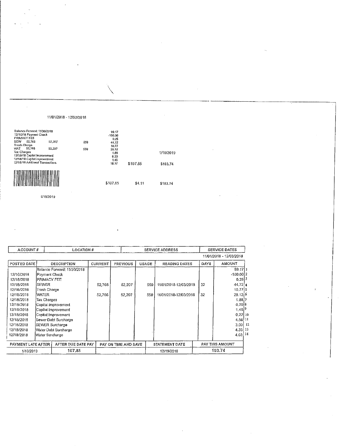|                                    | Balance Forward: 11/30/2018<br>12/10/18 Payment Check                                            |        |     | 99.17<br>$-100.00$     |          |           |
|------------------------------------|--------------------------------------------------------------------------------------------------|--------|-----|------------------------|----------|-----------|
| PRIMACY FEE<br>SEW<br>Trash Charge | 52.766                                                                                           | 52,207 | 559 | 0.25<br>44.72          |          |           |
| <b>WAT</b><br>Tax Charges          | 52,766                                                                                           | 52,207 | 559 | 10.77<br>29.12<br>1.88 |          | 1/10/2019 |
|                                    | 12/18/18 Capital Improvement<br>12/18/18 Capilal Improvement<br>12/18/18 Additional Transactions |        |     | 0.20<br>1.46<br>16.17  | \$107.85 | \$103.74  |
|                                    |                                                                                                  |        |     | \$107.85               | \$4.11   | \$103.74  |
|                                    |                                                                                                  |        |     |                        |          |           |

\

1/10/2019

11/01/2018-12103/2018

| ACCOUNT#           |                 | LOCATION #                  |                | <b>SERVICE ADDRESS</b> |       | <b>SERVICE DATES</b>  |      |                         |
|--------------------|-----------------|-----------------------------|----------------|------------------------|-------|-----------------------|------|-------------------------|
|                    |                 |                             |                |                        |       |                       |      | 11/01/2018 - 12/03/2018 |
| POSTED DATE        |                 | <b>DESCRIPTION</b>          | <b>CURRENT</b> | <b>PREVIOUS</b>        | USAGE | <b>READING DATES</b>  | DAYS | <b>AMOUNT</b>           |
|                    |                 | Balance Forward: 11/30/2018 |                |                        |       |                       |      | 99.17.1                 |
| 12/10/2018         | Payment Check   |                             |                |                        |       |                       |      | $-100,0012$             |
| 12/18/2018         | PRIMACY FEE     |                             |                |                        |       |                       |      | $0.25$ <sup>3</sup>     |
| 12/18/2018         | <b>ISEWER</b>   |                             | 52.766         | 52,207                 | 559   | 11/01/2018-12/03/2018 | 32   | 44.72 4                 |
| 12/18/2018         | Trash Charge    |                             |                |                        |       |                       |      | $10.77$ 5               |
| 12/18/2018         | <b>WATER</b>    |                             | 52.766         | 52,207                 | 559   | 11/01/2018-12/03/2018 | 32   | 29,12 6                 |
| 12/18/2018         | Tax Charges     |                             |                |                        |       |                       |      | 1.887                   |
| 12/18/2018         |                 | Capital Improvement         |                |                        |       |                       |      | 0.2018                  |
| 12/18/2018         |                 | Capital Improvement         |                |                        |       |                       |      | $1.46^{9}$              |
| 12/18/2018         |                 | Capital Improvement         |                |                        |       |                       |      | $0.22$ 10               |
| 12/18/2018         |                 | Sewer Debt Surcharge        |                |                        |       |                       |      | 4.56.11                 |
| 12/18/2018         |                 | SEWER Surcharge             |                |                        |       |                       |      | $3.03$ 12               |
| 12/18/2018         |                 | Water Debt Surcharge        |                |                        |       |                       |      | 4,33, 13                |
| 12/18/2018         | Water Surcharge |                             |                |                        |       |                       |      | $4,03$ 14               |
| PAYMENT LATE AFTER |                 | AFTER DUE DATE PAY          |                | PAY ON TIME AND SAVE   |       | STATEMENT DATE        |      | <b>PAY THIS AMOUNT</b>  |
| 1/10/2019          |                 | 107.85                      |                |                        |       | 12/19/2018            |      | 103.74                  |

 $\hat{\mathcal{A}}$